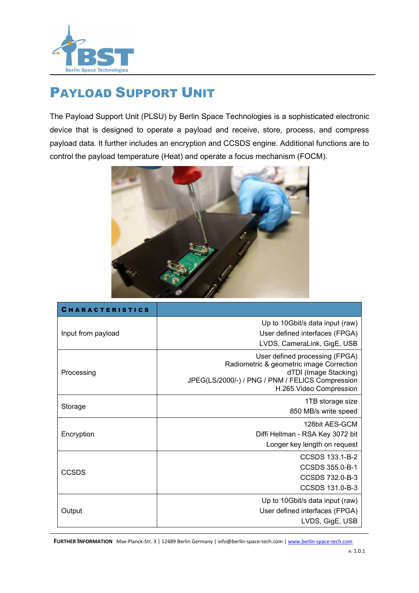

## PAYLOAD SUPPORT UNIT

The Payload Support Unit (PLSU) by Berlin Space Technologies is a sophisticated electronic device that is designed to operate a payload and receive, store, process, and compress payload data. It further includes an encryption and CCSDS engine. Additional functions are to control the payload temperature (Heat) and operate a focus mechanism (FOCM).



| <b>CHARACTERISTICS</b> |                                                                           |
|------------------------|---------------------------------------------------------------------------|
| Input from payload     | Up to 10Gbit/s data input (raw)                                           |
|                        | User defined interfaces (FPGA)                                            |
|                        | LVDS, CameraLink, GigE, USB                                               |
| Processing             | User defined processing (FPGA)                                            |
|                        | Radiometric & geometric image Correction                                  |
|                        | dTDI (Image Stacking)<br>JPEG(LS/2000/-) / PNG / PNM / FELICS Compression |
|                        | H.265 Video Compression                                                   |
| Storage                | 1TB storage size                                                          |
|                        | 850 MB/s write speed                                                      |
| Encryption             | 128bit AES-GCM                                                            |
|                        | Diffi Hellman - RSA Key 3072 bit                                          |
|                        | Longer key length on request                                              |
| <b>CCSDS</b>           | CCSDS 133.1-B-2                                                           |
|                        | CCSDS 355.0-B-1                                                           |
|                        | CCSDS 732.0-B-3                                                           |
|                        | CCSDS 131.0-B-3                                                           |
| Output                 | Up to 10Gbit/s data input (raw)                                           |
|                        | User defined interfaces (FPGA)                                            |
|                        | LVDS, GigE, USB                                                           |

FURTHER INFORMATION Max-Planck-Str. 3 | 12489 Berlin Germany | info@berlin-space-tech.com | www.berlin-space-tech.com